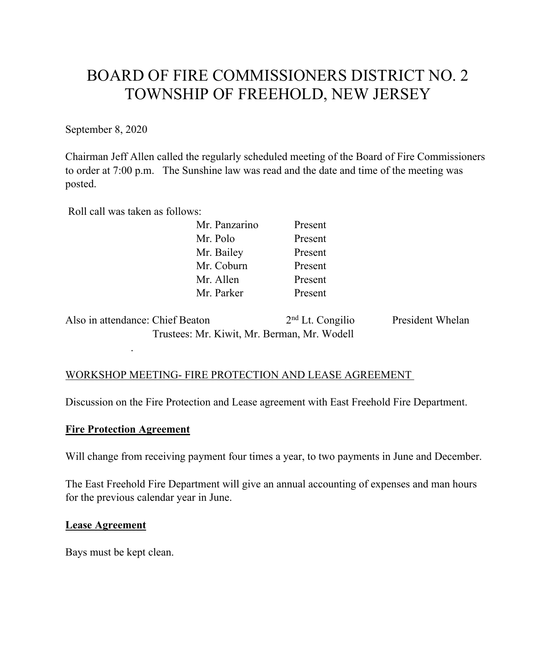# BOARD OF FIRE COMMISSIONERS DISTRICT NO. 2 TOWNSHIP OF FREEHOLD, NEW JERSEY

September 8, 2020

Chairman Jeff Allen called the regularly scheduled meeting of the Board of Fire Commissioners to order at 7:00 p.m. The Sunshine law was read and the date and time of the meeting was posted.

Roll call was taken as follows:

| Mr. Panzarino | Present |
|---------------|---------|
| Mr. Polo      | Present |
| Mr. Bailey    | Present |
| Mr. Coburn    | Present |
| Mr. Allen     | Present |
| Mr. Parker    | Present |
|               |         |

Also in attendance: Chief Beaton 2<sup>nd</sup> Lt. Congilio President Whelan Trustees: Mr. Kiwit, Mr. Berman, Mr. Wodell

### WORKSHOP MEETING- FIRE PROTECTION AND LEASE AGREEMENT

Discussion on the Fire Protection and Lease agreement with East Freehold Fire Department.

#### **Fire Protection Agreement**

.

Will change from receiving payment four times a year, to two payments in June and December.

The East Freehold Fire Department will give an annual accounting of expenses and man hours for the previous calendar year in June.

#### **Lease Agreement**

Bays must be kept clean.